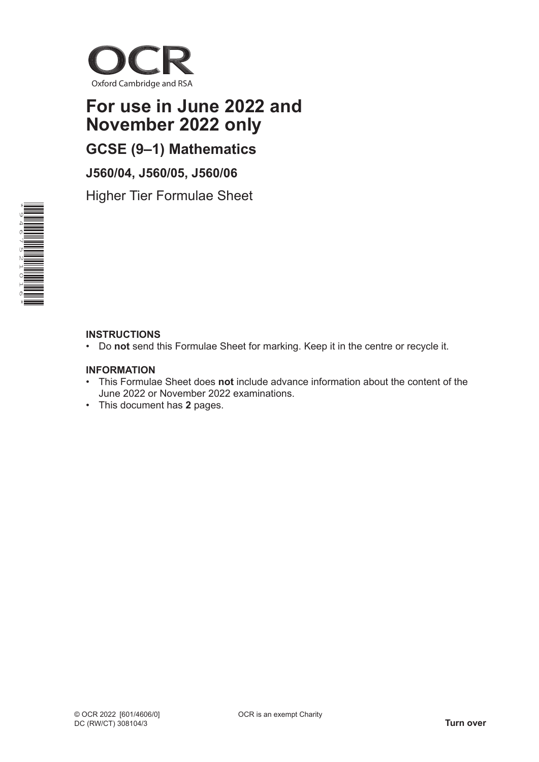

# **For use in June 2022 and November 2022 only**

**GCSE (9–1) Mathematics**

**J560/04, J560/05, J560/06**

Higher Tier Formulae Sheet



#### **INSTRUCTIONS**

• Do **not** send this Formulae Sheet for marking. Keep it in the centre or recycle it.

#### **INFORMATION**

- This Formulae Sheet does **not** include advance information about the content of the June 2022 or November 2022 examinations.
- This document has **2** pages.